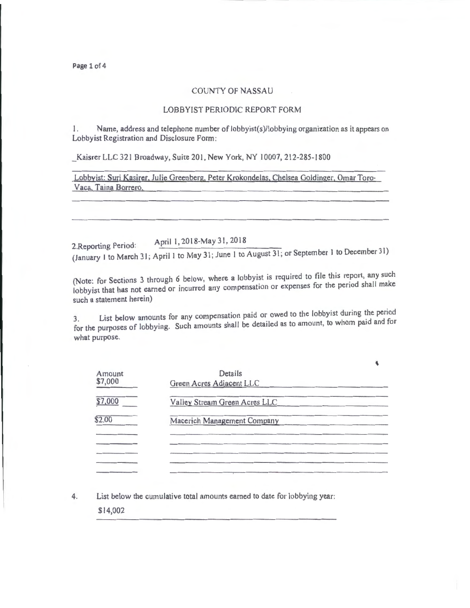Page 1 of 4

## COUNTY OF NASSAU

## LOBBYIST PERIODIC REPORT FORM

Lobbyist Registration and Disclosure Form: 1. Name, address and telephone number of lobbyist(s)/lobbying organization as it appears on

Kaisrer LLC 321 Broadway, Suite 201, New York, NY 10007, 212-285-1800

Lobbyist: Suri Kasirer, Julie Greenberg, Peter Krokondelas, Chelsea Goldinger. Omar Toro-Vaca. Taina Borrero.

2. Reporting Period: April 1, 2018-May 31, 2018

(January 1 to March 31; April 1 to May 31; June 1 to August 31; or September I to December 31)

(Note: for Sections 3 through 6 below, where a lobbyist is required to file this report, any such lobbyist that has not earned or incurred any compensation or expenses for the period shall make such a statement herein)

List below amounts for any compensation paid or owed to the lobbyist during the period for the purposes of lobbying. Such amounts shall be detailed as to amount, to whom paid and for what purpose.

| Amount<br>\$7,000 | Details<br>Green Acres Adjacent LLC |  |
|-------------------|-------------------------------------|--|
| \$7,000           | Valley Stream Green Acres LLC       |  |
| \$2.00            | Macerich Management Company         |  |
|                   |                                     |  |
|                   |                                     |  |
|                   |                                     |  |

4. List below the cumulative total amounts earned to date for lobbying year:

\$14,002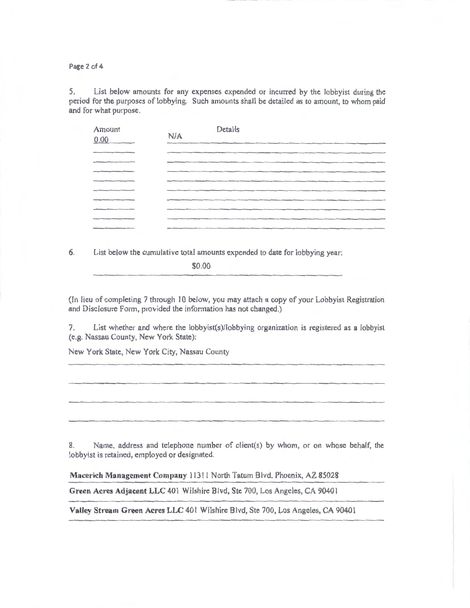Page 2 of 4

5. List below amounts for any expenses expended or incurred by the lobbyist during the period for the purposes of lobbying. Such amounts shall be detailed as to amount, to whom paid and for what purpose.

| Amount<br>0.00 | Details<br>N/A |
|----------------|----------------|
|                |                |
|                |                |
|                |                |
|                |                |
|                |                |
|                |                |
|                |                |
|                |                |
|                |                |

6. List below the cumulative total amounts expended to date for lobbying year:

\$0.00

(In lieu of completing 7 through 10 below, you may attach a copy of your Lobbyist Registration and Disclosure Form, provided the information has not changed.)

7. List whether and where the lobbyist(s)/lobbying organization is registered as a lobbyist (e.g. Nassau County, New York State):

New York State, New York City, Nassau County

8. Name, address and telephone number of client(s) by whom, or on whose behalf, the lobbyist is retained, employed or designated.

**Macerich Management Company** 11311 North Tatum Blvd. Phoenix, AZ 85028

**Green Acres Adjacent LLC** 401 Wilshire Blvd, Ste 700, Los Angeles, CA 9040 I

Valley Stream Green Acres LLC 401 Wilshire Blvd, Ste 700, Los Angeles, CA 90401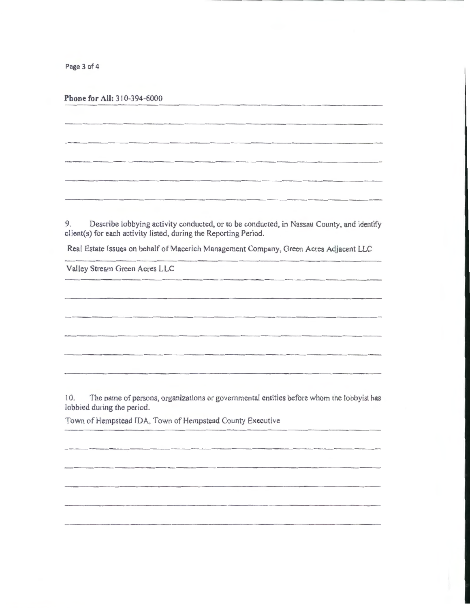Page 3 of 4

**Phone for All:** 3 10-394-6000

9. Describe lobbying activity conducted, or to be conducted, in Nassau County, and identify client(s) for each activity listed, during the Reporting Period.

Real Estate Issues on behalf of Macerich Management Company, Green Acres Adjacent LLC

Valley Stream Green Acres LLC

10. The name of persons, organizations or governmental entities before whom the lobbyist has lobbied during the period.

Town of Hempstead IDA, Town of Hempstead County Executive